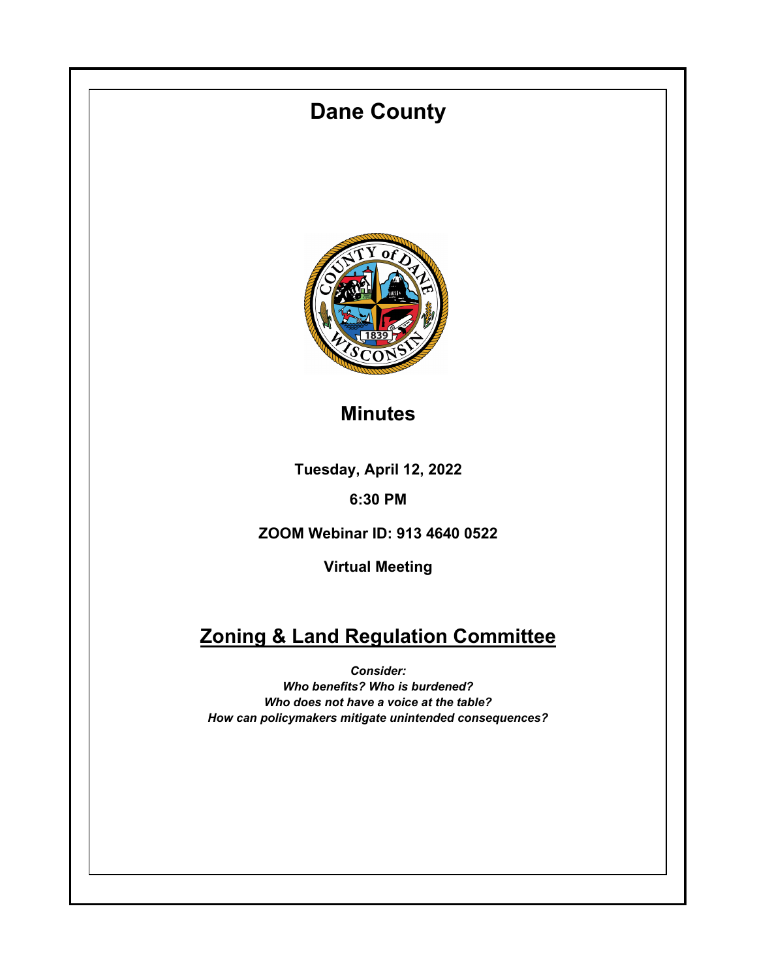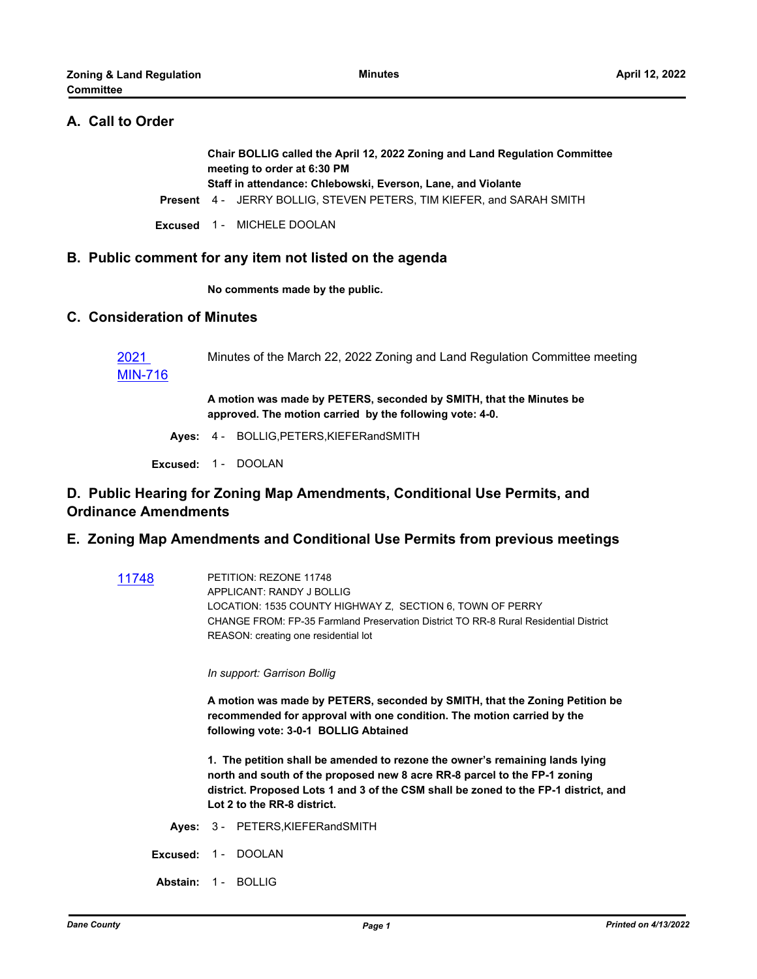# **A. Call to Order**

**Chair BOLLIG called the April 12, 2022 Zoning and Land Regulation Committee meeting to order at 6:30 PM Staff in attendance: Chlebowski, Everson, Lane, and Violante**

**Present** 4 - JERRY BOLLIG, STEVEN PETERS, TIM KIEFER, and SARAH SMITH

**Excused** 1 - MICHELE DOOLAN

#### **B. Public comment for any item not listed on the agenda**

**No comments made by the public.**

#### **C. Consideration of Minutes**

2021 [MIN-716](http://dane.legistar.com/gateway.aspx?m=l&id=/matter.aspx?key=22581) Minutes of the March 22, 2022 Zoning and Land Regulation Committee meeting

> **A motion was made by PETERS, seconded by SMITH, that the Minutes be approved. The motion carried by the following vote: 4-0.**

**Ayes:** 4 - BOLLIG,PETERS,KIEFERandSMITH

**Excused:** 1 - DOOLAN

# **D. Public Hearing for Zoning Map Amendments, Conditional Use Permits, and Ordinance Amendments**

#### **E. Zoning Map Amendments and Conditional Use Permits from previous meetings**

[11748](http://dane.legistar.com/gateway.aspx?m=l&id=/matter.aspx?key=20851) PETITION: REZONE 11748 APPLICANT: RANDY J BOLLIG LOCATION: 1535 COUNTY HIGHWAY Z, SECTION 6, TOWN OF PERRY CHANGE FROM: FP-35 Farmland Preservation District TO RR-8 Rural Residential District REASON: creating one residential lot

*In support: Garrison Bollig*

**A motion was made by PETERS, seconded by SMITH, that the Zoning Petition be recommended for approval with one condition. The motion carried by the following vote: 3-0-1 BOLLIG Abtained**

**1. The petition shall be amended to rezone the owner's remaining lands lying north and south of the proposed new 8 acre RR-8 parcel to the FP-1 zoning district. Proposed Lots 1 and 3 of the CSM shall be zoned to the FP-1 district, and Lot 2 to the RR-8 district.**

**Ayes:** 3 - PETERS,KIEFERandSMITH

**Excused:** 1 - DOOLAN

**Abstain:** 1 - BOLLIG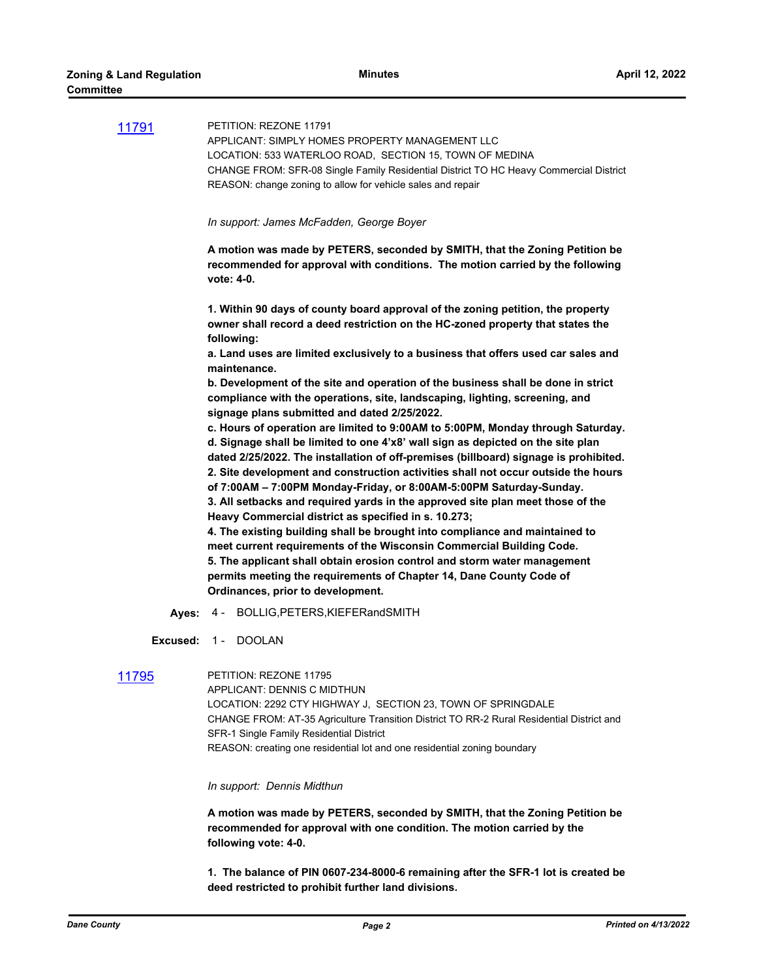|       | In support: James McFadden, George Boyer                                                                                                              |
|-------|-------------------------------------------------------------------------------------------------------------------------------------------------------|
|       | CHANGE FROM: SFR-08 Single Family Residential District TO HC Heavy Commercial District<br>REASON: change zoning to allow for vehicle sales and repair |
| 11791 | PETITION: REZONE 11791<br>APPLICANT: SIMPLY HOMES PROPERTY MANAGEMENT LLC<br>LOCATION: 533 WATERLOO ROAD, SECTION 15, TOWN OF MEDINA                  |

**A motion was made by PETERS, seconded by SMITH, that the Zoning Petition be recommended for approval with conditions. The motion carried by the following vote: 4-0.**

**1. Within 90 days of county board approval of the zoning petition, the property owner shall record a deed restriction on the HC-zoned property that states the following:**

**a. Land uses are limited exclusively to a business that offers used car sales and maintenance.**

**b. Development of the site and operation of the business shall be done in strict compliance with the operations, site, landscaping, lighting, screening, and signage plans submitted and dated 2/25/2022.**

**c. Hours of operation are limited to 9:00AM to 5:00PM, Monday through Saturday. d. Signage shall be limited to one 4'x8' wall sign as depicted on the site plan dated 2/25/2022. The installation of off-premises (billboard) signage is prohibited. 2. Site development and construction activities shall not occur outside the hours of 7:00AM – 7:00PM Monday-Friday, or 8:00AM-5:00PM Saturday-Sunday. 3. All setbacks and required yards in the approved site plan meet those of the Heavy Commercial district as specified in s. 10.273;**

**4. The existing building shall be brought into compliance and maintained to meet current requirements of the Wisconsin Commercial Building Code. 5. The applicant shall obtain erosion control and storm water management permits meeting the requirements of Chapter 14, Dane County Code of Ordinances, prior to development.**

**Ayes:** 4 - BOLLIG,PETERS,KIEFERandSMITH

**Excused:** 1 - DOOLAN

[11795](http://dane.legistar.com/gateway.aspx?m=l&id=/matter.aspx?key=21687) PETITION: REZONE 11795 APPLICANT: DENNIS C MIDTHUN LOCATION: 2292 CTY HIGHWAY J, SECTION 23, TOWN OF SPRINGDALE CHANGE FROM: AT-35 Agriculture Transition District TO RR-2 Rural Residential District and SFR-1 Single Family Residential District REASON: creating one residential lot and one residential zoning boundary

*In support: Dennis Midthun*

**A motion was made by PETERS, seconded by SMITH, that the Zoning Petition be recommended for approval with one condition. The motion carried by the following vote: 4-0.**

**1. The balance of PIN 0607-234-8000-6 remaining after the SFR-1 lot is created be deed restricted to prohibit further land divisions.**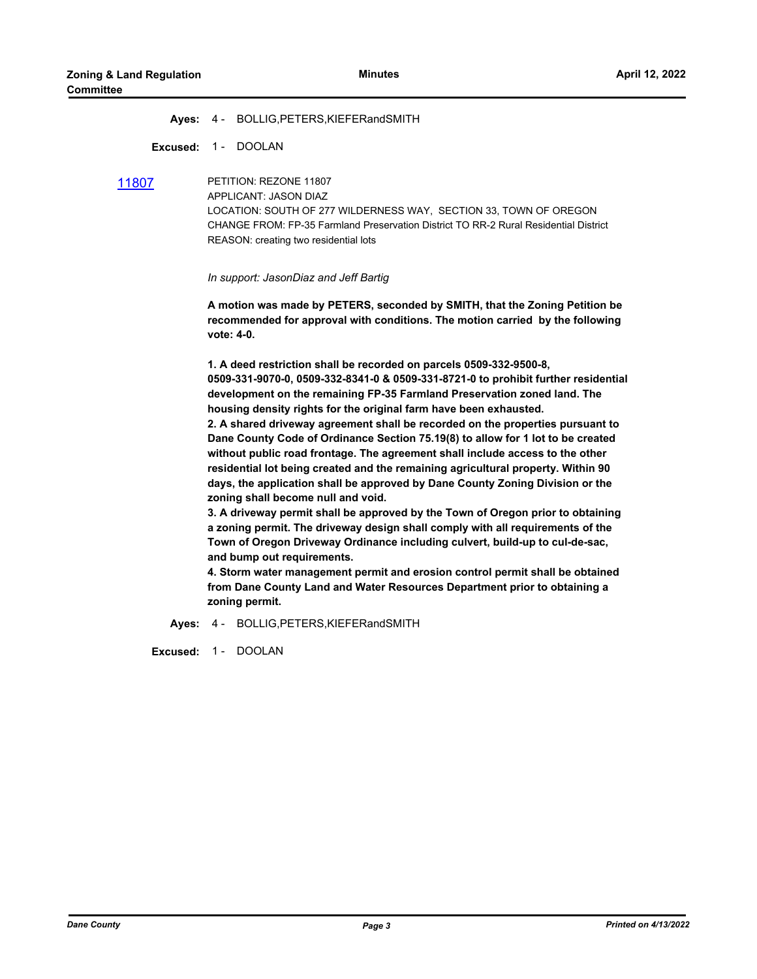#### **Ayes:** 4 - BOLLIG,PETERS,KIEFERandSMITH

**Excused:** 1 - DOOLAN

[11807](http://dane.legistar.com/gateway.aspx?m=l&id=/matter.aspx?key=22114) PETITION: REZONE 11807 APPLICANT: JASON DIAZ LOCATION: SOUTH OF 277 WILDERNESS WAY, SECTION 33, TOWN OF OREGON CHANGE FROM: FP-35 Farmland Preservation District TO RR-2 Rural Residential District REASON: creating two residential lots

*In support: JasonDiaz and Jeff Bartig*

**A motion was made by PETERS, seconded by SMITH, that the Zoning Petition be recommended for approval with conditions. The motion carried by the following vote: 4-0.**

**1. A deed restriction shall be recorded on parcels 0509-332-9500-8, 0509-331-9070-0, 0509-332-8341-0 & 0509-331-8721-0 to prohibit further residential development on the remaining FP-35 Farmland Preservation zoned land. The housing density rights for the original farm have been exhausted.**

**2. A shared driveway agreement shall be recorded on the properties pursuant to Dane County Code of Ordinance Section 75.19(8) to allow for 1 lot to be created without public road frontage. The agreement shall include access to the other residential lot being created and the remaining agricultural property. Within 90 days, the application shall be approved by Dane County Zoning Division or the zoning shall become null and void.**

**3. A driveway permit shall be approved by the Town of Oregon prior to obtaining a zoning permit. The driveway design shall comply with all requirements of the Town of Oregon Driveway Ordinance including culvert, build-up to cul-de-sac, and bump out requirements.**

**4. Storm water management permit and erosion control permit shall be obtained from Dane County Land and Water Resources Department prior to obtaining a zoning permit.**

**Ayes:** 4 - BOLLIG,PETERS,KIEFERandSMITH

**Excused:** 1 - DOOLAN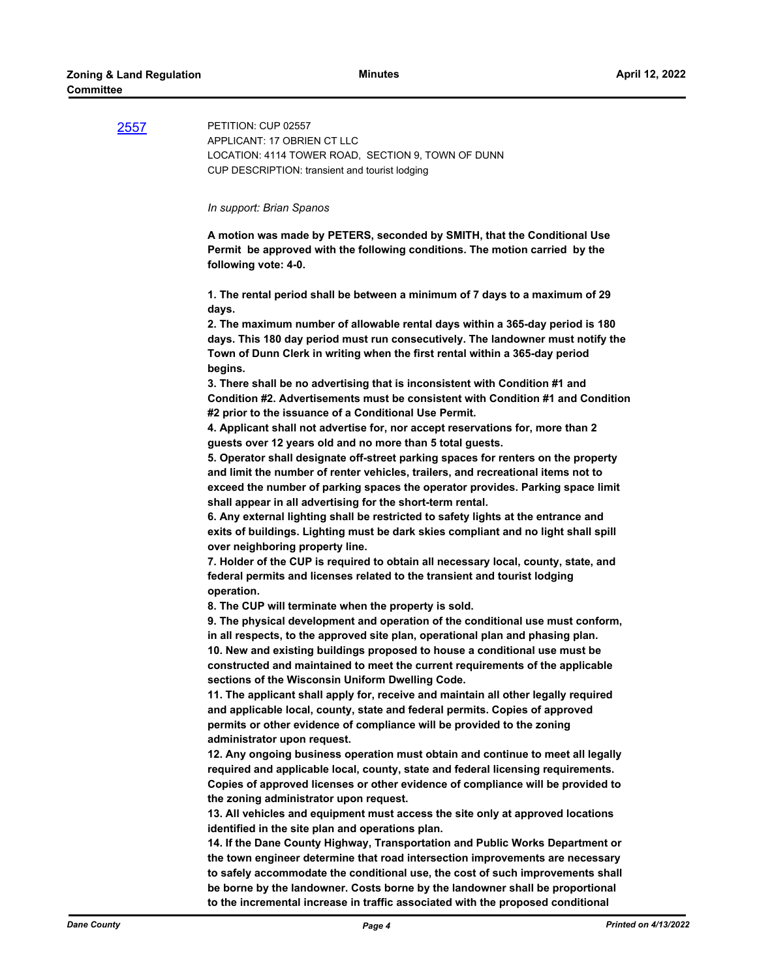[2557](http://dane.legistar.com/gateway.aspx?m=l&id=/matter.aspx?key=22121) PETITION: CUP 02557 APPLICANT: 17 OBRIEN CT LLC LOCATION: 4114 TOWER ROAD, SECTION 9, TOWN OF DUNN CUP DESCRIPTION: transient and tourist lodging *In support: Brian Spanos* **A motion was made by PETERS, seconded by SMITH, that the Conditional Use Permit be approved with the following conditions. The motion carried by the following vote: 4-0. 1. The rental period shall be between a minimum of 7 days to a maximum of 29 days. 2. The maximum number of allowable rental days within a 365-day period is 180 days. This 180 day period must run consecutively. The landowner must notify the Town of Dunn Clerk in writing when the first rental within a 365-day period begins. 3. There shall be no advertising that is inconsistent with Condition #1 and Condition #2. Advertisements must be consistent with Condition #1 and Condition #2 prior to the issuance of a Conditional Use Permit. 4. Applicant shall not advertise for, nor accept reservations for, more than 2 guests over 12 years old and no more than 5 total guests. 5. Operator shall designate off-street parking spaces for renters on the property and limit the number of renter vehicles, trailers, and recreational items not to exceed the number of parking spaces the operator provides. Parking space limit shall appear in all advertising for the short-term rental. 6. Any external lighting shall be restricted to safety lights at the entrance and exits of buildings. Lighting must be dark skies compliant and no light shall spill over neighboring property line. 7. Holder of the CUP is required to obtain all necessary local, county, state, and federal permits and licenses related to the transient and tourist lodging operation. 8. The CUP will terminate when the property is sold. 9. The physical development and operation of the conditional use must conform, in all respects, to the approved site plan, operational plan and phasing plan. 10. New and existing buildings proposed to house a conditional use must be constructed and maintained to meet the current requirements of the applicable sections of the Wisconsin Uniform Dwelling Code. 11. The applicant shall apply for, receive and maintain all other legally required and applicable local, county, state and federal permits. Copies of approved permits or other evidence of compliance will be provided to the zoning administrator upon request. 12. Any ongoing business operation must obtain and continue to meet all legally required and applicable local, county, state and federal licensing requirements. Copies of approved licenses or other evidence of compliance will be provided to the zoning administrator upon request. 13. All vehicles and equipment must access the site only at approved locations identified in the site plan and operations plan. 14. If the Dane County Highway, Transportation and Public Works Department or the town engineer determine that road intersection improvements are necessary to safely accommodate the conditional use, the cost of such improvements shall be borne by the landowner. Costs borne by the landowner shall be proportional to the incremental increase in traffic associated with the proposed conditional**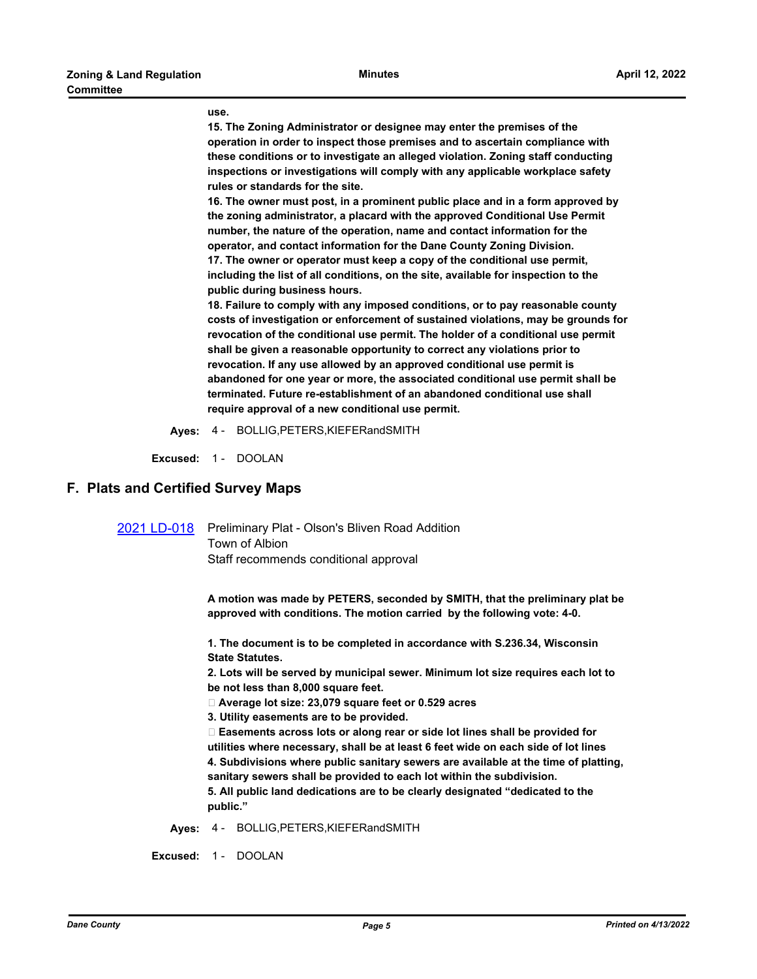#### **use.**

**15. The Zoning Administrator or designee may enter the premises of the operation in order to inspect those premises and to ascertain compliance with these conditions or to investigate an alleged violation. Zoning staff conducting inspections or investigations will comply with any applicable workplace safety rules or standards for the site.**

**16. The owner must post, in a prominent public place and in a form approved by the zoning administrator, a placard with the approved Conditional Use Permit number, the nature of the operation, name and contact information for the operator, and contact information for the Dane County Zoning Division. 17. The owner or operator must keep a copy of the conditional use permit, including the list of all conditions, on the site, available for inspection to the public during business hours.**

**18. Failure to comply with any imposed conditions, or to pay reasonable county costs of investigation or enforcement of sustained violations, may be grounds for revocation of the conditional use permit. The holder of a conditional use permit shall be given a reasonable opportunity to correct any violations prior to revocation. If any use allowed by an approved conditional use permit is abandoned for one year or more, the associated conditional use permit shall be terminated. Future re-establishment of an abandoned conditional use shall require approval of a new conditional use permit.**

**Ayes:** 4 - BOLLIG,PETERS,KIEFERandSMITH

**Excused:** 1 - DOOLAN

### **F. Plats and Certified Survey Maps**

[2021 LD-018](http://dane.legistar.com/gateway.aspx?m=l&id=/matter.aspx?key=22595) Preliminary Plat - Olson's Bliven Road Addition Town of Albion Staff recommends conditional approval

> **A motion was made by PETERS, seconded by SMITH, that the preliminary plat be approved with conditions. The motion carried by the following vote: 4-0.**

**1. The document is to be completed in accordance with S.236.34, Wisconsin State Statutes.**

**2. Lots will be served by municipal sewer. Minimum lot size requires each lot to be not less than 8,000 square feet.**

 **Average lot size: 23,079 square feet or 0.529 acres**

**3. Utility easements are to be provided.**

 **Easements across lots or along rear or side lot lines shall be provided for utilities where necessary, shall be at least 6 feet wide on each side of lot lines 4. Subdivisions where public sanitary sewers are available at the time of platting, sanitary sewers shall be provided to each lot within the subdivision. 5. All public land dedications are to be clearly designated "dedicated to the public."**

**Ayes:** 4 - BOLLIG,PETERS,KIEFERandSMITH

**Excused:** 1 - DOOLAN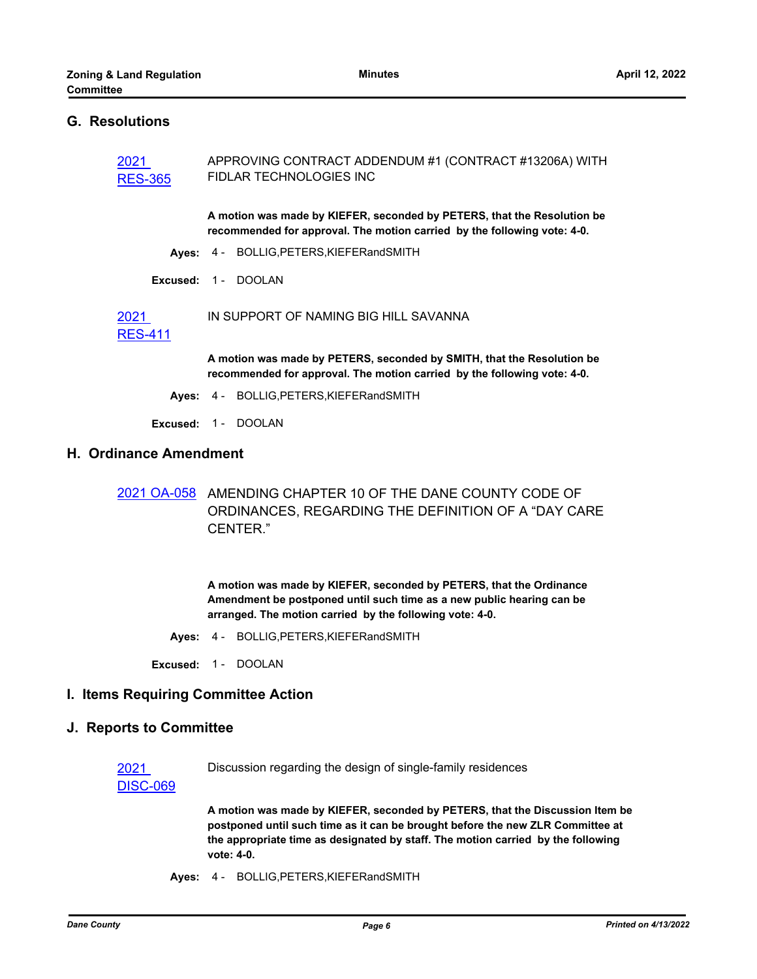### **G. Resolutions**

| 2021<br><b>RES-365</b> | APPROVING CONTRACT ADDENDUM #1 (CONTRACT #13206A) WITH<br><b>FIDLAR TECHNOLOGIES INC</b>                                                            |
|------------------------|-----------------------------------------------------------------------------------------------------------------------------------------------------|
|                        | A motion was made by KIEFER, seconded by PETERS, that the Resolution be<br>recommended for approval. The motion carried by the following vote: 4-0. |
|                        | Ayes: 4 - BOLLIG, PETERS, KIEFER and SMITH                                                                                                          |
|                        | Excused: 1 - DOOLAN                                                                                                                                 |
| 2021                   | IN SUPPORT OF NAMING BIG HILL SAVANNA                                                                                                               |

# [RES-411](http://dane.legistar.com/gateway.aspx?m=l&id=/matter.aspx?key=22509)

**A motion was made by PETERS, seconded by SMITH, that the Resolution be recommended for approval. The motion carried by the following vote: 4-0.**

- **Ayes:** 4 BOLLIG,PETERS,KIEFERandSMITH
- **Excused:** 1 DOOLAN

# **H. Ordinance Amendment**

[2021 OA-058](http://dane.legistar.com/gateway.aspx?m=l&id=/matter.aspx?key=21642) AMENDING CHAPTER 10 OF THE DANE COUNTY CODE OF ORDINANCES, REGARDING THE DEFINITION OF A "DAY CARE CENTER."

> **A motion was made by KIEFER, seconded by PETERS, that the Ordinance Amendment be postponed until such time as a new public hearing can be arranged. The motion carried by the following vote: 4-0.**

**Ayes:** 4 - BOLLIG,PETERS,KIEFERandSMITH

**Excused:** 1 - DOOLAN

#### **I. Items Requiring Committee Action**

#### **J. Reports to Committee**

Discussion regarding the design of single-family residences

# [DISC-069](http://dane.legistar.com/gateway.aspx?m=l&id=/matter.aspx?key=22667)

2021

**A motion was made by KIEFER, seconded by PETERS, that the Discussion Item be postponed until such time as it can be brought before the new ZLR Committee at the appropriate time as designated by staff. The motion carried by the following vote: 4-0.**

**Ayes:** 4 - BOLLIG,PETERS,KIEFERandSMITH